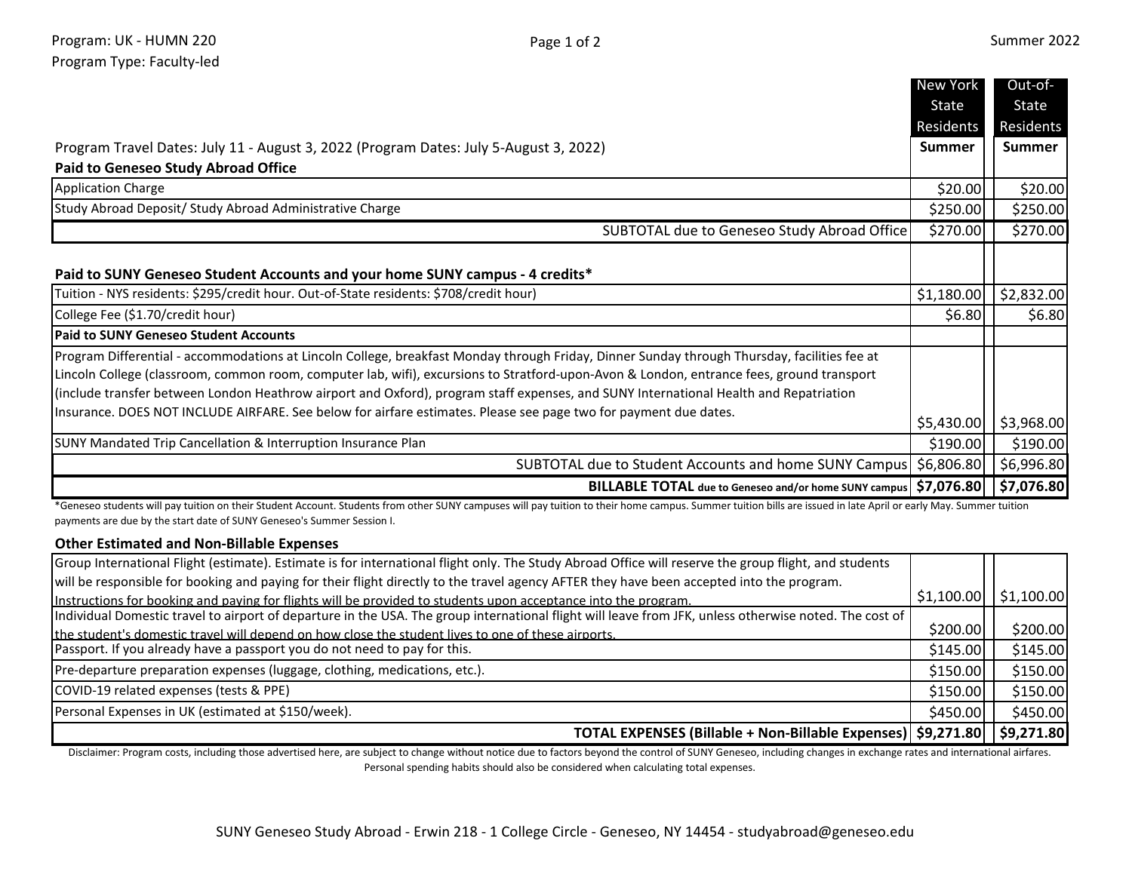|                                                                                                                                              | New York      | Out-of-       |
|----------------------------------------------------------------------------------------------------------------------------------------------|---------------|---------------|
|                                                                                                                                              | <b>State</b>  | State         |
|                                                                                                                                              | Residents     | Residents     |
| Program Travel Dates: July 11 - August 3, 2022 (Program Dates: July 5-August 3, 2022)                                                        | <b>Summer</b> | <b>Summer</b> |
| <b>Paid to Geneseo Study Abroad Office</b>                                                                                                   |               |               |
| <b>Application Charge</b>                                                                                                                    | \$20.00       | \$20.00       |
| Study Abroad Deposit/ Study Abroad Administrative Charge                                                                                     | \$250.00      | \$250.00      |
| SUBTOTAL due to Geneseo Study Abroad Office                                                                                                  | \$270.00      | \$270.00      |
|                                                                                                                                              |               |               |
| Paid to SUNY Geneseo Student Accounts and your home SUNY campus - 4 credits*                                                                 |               |               |
| Tuition - NYS residents: \$295/credit hour. Out-of-State residents: \$708/credit hour)                                                       | \$1,180.00    | \$2,832.00    |
| College Fee (\$1.70/credit hour)                                                                                                             | \$6.80        | \$6.80        |
| <b>Paid to SUNY Geneseo Student Accounts</b>                                                                                                 |               |               |
| Program Differential - accommodations at Lincoln College, breakfast Monday through Friday, Dinner Sunday through Thursday, facilities fee at |               |               |
| Lincoln College (classroom, common room, computer lab, wifi), excursions to Stratford-upon-Avon & London, entrance fees, ground transport    |               |               |
| (include transfer between London Heathrow airport and Oxford), program staff expenses, and SUNY International Health and Repatriation        |               |               |
| Insurance. DOES NOT INCLUDE AIRFARE. See below for airfare estimates. Please see page two for payment due dates.                             | \$5,430.00    | \$3,968.00    |
| <b>SUNY Mandated Trip Cancellation &amp; Interruption Insurance Plan</b>                                                                     | \$190.00      | \$190.00      |
| SUBTOTAL due to Student Accounts and home SUNY Campus                                                                                        | \$6,806.80    | \$6,996.80    |
| BILLABLE TOTAL due to Geneseo and/or home SUNY campus   \$7,076.80                                                                           |               | \$7,076.80    |

\*Geneseo students will pay tuition on their Student Account. Students from other SUNY campuses will pay tuition to their home campus. Summer tuition bills are issued in late April or early May. Summer tuition payments are due by the start date of SUNY Geneseo's Summer Session I.

## **Other Estimated and Non-Billable Expenses**

| Group International Flight (estimate). Estimate is for international flight only. The Study Abroad Office will reserve the group flight, and students   |          |                           |
|---------------------------------------------------------------------------------------------------------------------------------------------------------|----------|---------------------------|
| will be responsible for booking and paying for their flight directly to the travel agency AFTER they have been accepted into the program.               |          |                           |
| Instructions for booking and paying for flights will be provided to students upon acceptance into the program.                                          |          | $$1,100.00$   $$1,100.00$ |
| [Individual Domestic travel to airport of departure in the USA. The group international flight will leave from JFK, unless otherwise noted. The cost of |          |                           |
| the student's domestic travel will depend on how close the student lives to one of these airports.                                                      | \$200.00 | \$200.00]                 |
| Passport. If you already have a passport you do not need to pay for this.                                                                               | \$145.00 | \$145.00                  |
| Pre-departure preparation expenses (luggage, clothing, medications, etc.).                                                                              | \$150.00 | \$150.00                  |
| COVID-19 related expenses (tests & PPE)                                                                                                                 | \$150.00 | \$150.00                  |
| Personal Expenses in UK (estimated at \$150/week).                                                                                                      | \$450.00 | \$450.00                  |
| TOTAL EXPENSES (Billable + Non-Billable Expenses)   \$9,271.80     \$9,271.80                                                                           |          |                           |

Disclaimer: Program costs, including those advertised here, are subject to change without notice due to factors beyond the control of SUNY Geneseo, including changes in exchange rates and international airfares. Personal spending habits should also be considered when calculating total expenses.